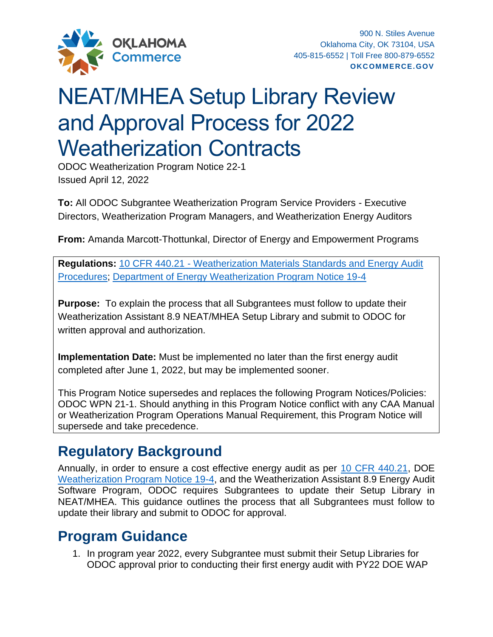

## NEAT/MHEA Setup Library Review and Approval Process for 2022 Weatherization Contracts

ODOC Weatherization Program Notice 22-1 Issued April 12, 2022

**To:** All ODOC Subgrantee Weatherization Program Service Providers - Executive Directors, Weatherization Program Managers, and Weatherization Energy Auditors

**From:** Amanda Marcott-Thottunkal, Director of Energy and Empowerment Programs

**Regulations:** 10 CFR 440.21 - [Weatherization Materials Standards and Energy Audit](https://gov.ecfr.io/cgi-bin/text-idx?SID=0b4ee29d092cd09bddf64985261f71cc&mc=true&node=se10.3.440_121&rgn=div8)  [Procedures;](https://gov.ecfr.io/cgi-bin/text-idx?SID=0b4ee29d092cd09bddf64985261f71cc&mc=true&node=se10.3.440_121&rgn=div8) [Department of Energy Weatherization Program Notice 19-4](https://www.energy.gov/eere/wap/downloads/wpn-19-4-revised-energy-audit-approval-procedures-related-audit-and-material)

**Purpose:** To explain the process that all Subgrantees must follow to update their Weatherization Assistant 8.9 NEAT/MHEA Setup Library and submit to ODOC for written approval and authorization.

**Implementation Date:** Must be implemented no later than the first energy audit completed after June 1, 2022, but may be implemented sooner.

This Program Notice supersedes and replaces the following Program Notices/Policies: ODOC WPN 21-1. Should anything in this Program Notice conflict with any CAA Manual or Weatherization Program Operations Manual Requirement, this Program Notice will supersede and take precedence.

## **Regulatory Background**

Annually, in order to ensure a cost effective energy audit as per [10 CFR 440.21,](https://gov.ecfr.io/cgi-bin/text-idx?SID=0b4ee29d092cd09bddf64985261f71cc&mc=true&node=se10.3.440_121&rgn=div8) DOE [Weatherization Program Notice 19-4,](https://www.energy.gov/eere/wap/downloads/wpn-19-4-revised-energy-audit-approval-procedures-related-audit-and-material) and the Weatherization Assistant 8.9 Energy Audit Software Program, ODOC requires Subgrantees to update their Setup Library in NEAT/MHEA. This guidance outlines the process that all Subgrantees must follow to update their library and submit to ODOC for approval.

## **Program Guidance**

1. In program year 2022, every Subgrantee must submit their Setup Libraries for ODOC approval prior to conducting their first energy audit with PY22 DOE WAP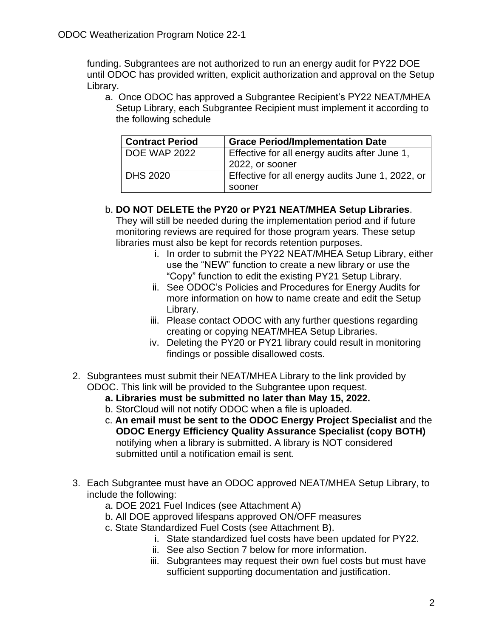funding. Subgrantees are not authorized to run an energy audit for PY22 DOE until ODOC has provided written, explicit authorization and approval on the Setup Library.

a. Once ODOC has approved a Subgrantee Recipient's PY22 NEAT/MHEA Setup Library, each Subgrantee Recipient must implement it according to the following schedule

| <b>Contract Period</b> | <b>Grace Period/Implementation Date</b>          |
|------------------------|--------------------------------------------------|
| <b>DOE WAP 2022</b>    | Effective for all energy audits after June 1,    |
|                        | 2022, or sooner                                  |
| <b>DHS 2020</b>        | Effective for all energy audits June 1, 2022, or |
|                        | sooner                                           |

## b. **DO NOT DELETE the PY20 or PY21 NEAT/MHEA Setup Libraries**.

They will still be needed during the implementation period and if future monitoring reviews are required for those program years. These setup libraries must also be kept for records retention purposes.

- i. In order to submit the PY22 NEAT/MHEA Setup Library, either use the "NEW" function to create a new library or use the "Copy" function to edit the existing PY21 Setup Library.
- ii. See ODOC's Policies and Procedures for Energy Audits for more information on how to name create and edit the Setup Library.
- iii. Please contact ODOC with any further questions regarding creating or copying NEAT/MHEA Setup Libraries.
- iv. Deleting the PY20 or PY21 library could result in monitoring findings or possible disallowed costs.
- 2. Subgrantees must submit their NEAT/MHEA Library to the link provided by ODOC. This link will be provided to the Subgrantee upon request.
	- **a. Libraries must be submitted no later than May 15, 2022.**
	- b. StorCloud will not notify ODOC when a file is uploaded.
	- c. **An email must be sent to the ODOC Energy Project Specialist** and the **ODOC Energy Efficiency Quality Assurance Specialist (copy BOTH)** notifying when a library is submitted. A library is NOT considered submitted until a notification email is sent.
- 3. Each Subgrantee must have an ODOC approved NEAT/MHEA Setup Library, to include the following:
	- a. DOE 2021 Fuel Indices (see Attachment A)
	- b. All DOE approved lifespans approved ON/OFF measures
	- c. State Standardized Fuel Costs (see Attachment B).
		- i. State standardized fuel costs have been updated for PY22.
		- ii. See also Section 7 below for more information.
		- iii. Subgrantees may request their own fuel costs but must have sufficient supporting documentation and justification.